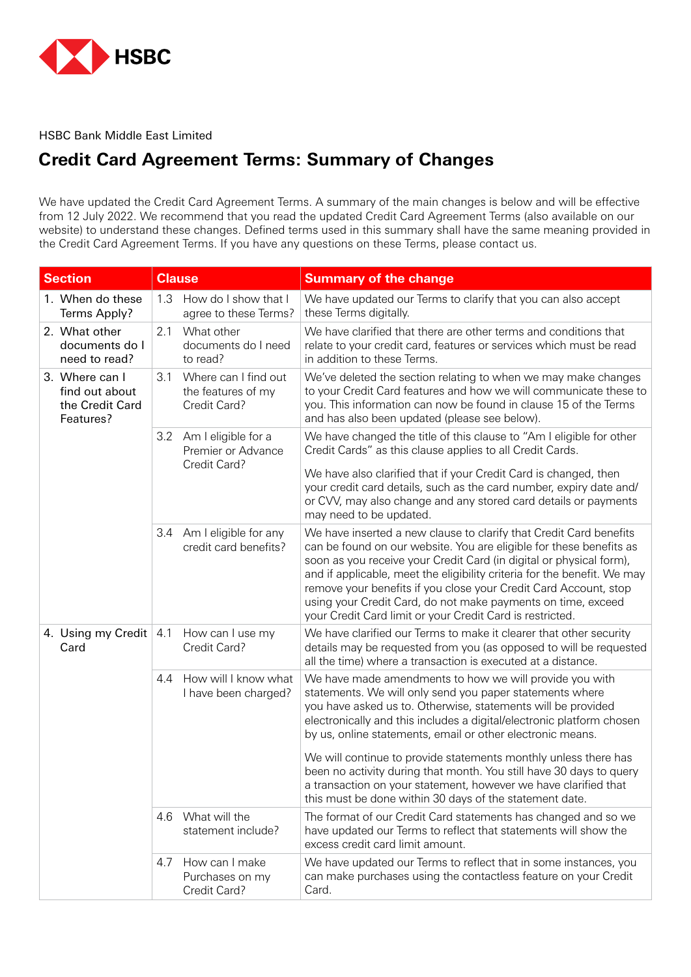

HSBC Bank Middle East Limited

## **Credit Card Agreement Terms: Summary of Changes**

We have updated the Credit Card Agreement Terms. A summary of the main changes is below and will be effective from 12 July 2022. We recommend that you read the updated Credit Card Agreement Terms (also available on our website) to understand these changes. Defined terms used in this summary shall have the same meaning provided in the Credit Card Agreement Terms. If you have any questions on these Terms, please contact us.

| <b>Section</b>                                                   | <b>Clause</b> |                                                            | <b>Summary of the change</b>                                                                                                                                                                                                                                                                                                                                                                                                                                                                  |
|------------------------------------------------------------------|---------------|------------------------------------------------------------|-----------------------------------------------------------------------------------------------------------------------------------------------------------------------------------------------------------------------------------------------------------------------------------------------------------------------------------------------------------------------------------------------------------------------------------------------------------------------------------------------|
| 1. When do these<br>Terms Apply?                                 | 1.3           | How do I show that I<br>agree to these Terms?              | We have updated our Terms to clarify that you can also accept<br>these Terms digitally.                                                                                                                                                                                                                                                                                                                                                                                                       |
| 2. What other<br>documents do I<br>need to read?                 | 2.1           | What other<br>documents do I need<br>to read?              | We have clarified that there are other terms and conditions that<br>relate to your credit card, features or services which must be read<br>in addition to these Terms.                                                                                                                                                                                                                                                                                                                        |
| 3. Where can I<br>find out about<br>the Credit Card<br>Features? | 3.1           | Where can I find out<br>the features of my<br>Credit Card? | We've deleted the section relating to when we may make changes<br>to your Credit Card features and how we will communicate these to<br>you. This information can now be found in clause 15 of the Terms<br>and has also been updated (please see below).                                                                                                                                                                                                                                      |
|                                                                  |               | 3.2 Am I eligible for a<br>Premier or Advance              | We have changed the title of this clause to "Am I eligible for other<br>Credit Cards" as this clause applies to all Credit Cards.                                                                                                                                                                                                                                                                                                                                                             |
|                                                                  |               | Credit Card?                                               | We have also clarified that if your Credit Card is changed, then<br>your credit card details, such as the card number, expiry date and/<br>or CVV, may also change and any stored card details or payments<br>may need to be updated.                                                                                                                                                                                                                                                         |
|                                                                  |               | 3.4 Am I eligible for any<br>credit card benefits?         | We have inserted a new clause to clarify that Credit Card benefits<br>can be found on our website. You are eligible for these benefits as<br>soon as you receive your Credit Card (in digital or physical form),<br>and if applicable, meet the eligibility criteria for the benefit. We may<br>remove your benefits if you close your Credit Card Account, stop<br>using your Credit Card, do not make payments on time, exceed<br>your Credit Card limit or your Credit Card is restricted. |
| 4. Using my Credit   4.1<br>Card                                 |               | How can I use my<br>Credit Card?                           | We have clarified our Terms to make it clearer that other security<br>details may be requested from you (as opposed to will be requested<br>all the time) where a transaction is executed at a distance.                                                                                                                                                                                                                                                                                      |
|                                                                  | 4.4           | How will I know what<br>I have been charged?               | We have made amendments to how we will provide you with<br>statements. We will only send you paper statements where<br>you have asked us to. Otherwise, statements will be provided<br>electronically and this includes a digital/electronic platform chosen<br>by us, online statements, email or other electronic means.                                                                                                                                                                    |
|                                                                  |               |                                                            | We will continue to provide statements monthly unless there has<br>been no activity during that month. You still have 30 days to query<br>a transaction on your statement, however we have clarified that<br>this must be done within 30 days of the statement date.                                                                                                                                                                                                                          |
|                                                                  |               | 4.6 What will the<br>statement include?                    | The format of our Credit Card statements has changed and so we<br>have updated our Terms to reflect that statements will show the<br>excess credit card limit amount.                                                                                                                                                                                                                                                                                                                         |
|                                                                  | 4.7           | How can I make<br>Purchases on my<br>Credit Card?          | We have updated our Terms to reflect that in some instances, you<br>can make purchases using the contactless feature on your Credit<br>Card.                                                                                                                                                                                                                                                                                                                                                  |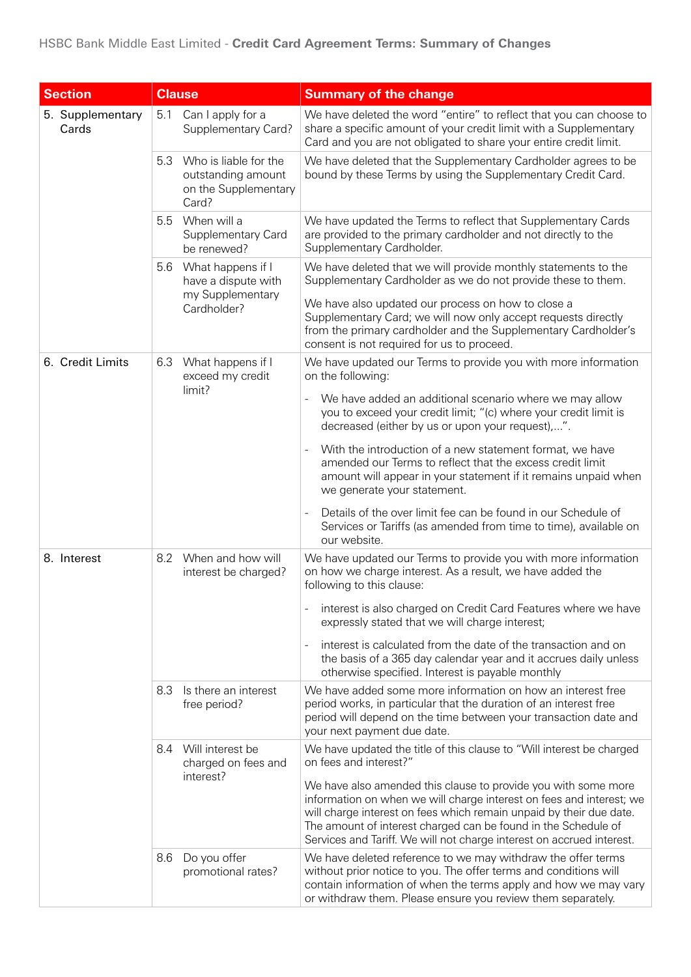| <b>Section</b>            |     | <b>Clause</b>                                                                | <b>Summary of the change</b>                                                                                                                                                                                                                                                                                                                             |
|---------------------------|-----|------------------------------------------------------------------------------|----------------------------------------------------------------------------------------------------------------------------------------------------------------------------------------------------------------------------------------------------------------------------------------------------------------------------------------------------------|
| 5. Supplementary<br>Cards | 5.1 | Can I apply for a<br>Supplementary Card?                                     | We have deleted the word "entire" to reflect that you can choose to<br>share a specific amount of your credit limit with a Supplementary<br>Card and you are not obligated to share your entire credit limit.                                                                                                                                            |
|                           | 5.3 | Who is liable for the<br>outstanding amount<br>on the Supplementary<br>Card? | We have deleted that the Supplementary Cardholder agrees to be<br>bound by these Terms by using the Supplementary Credit Card.                                                                                                                                                                                                                           |
|                           | 5.5 | When will a<br>Supplementary Card<br>be renewed?                             | We have updated the Terms to reflect that Supplementary Cards<br>are provided to the primary cardholder and not directly to the<br>Supplementary Cardholder.                                                                                                                                                                                             |
|                           | 5.6 | What happens if I<br>have a dispute with<br>my Supplementary                 | We have deleted that we will provide monthly statements to the<br>Supplementary Cardholder as we do not provide these to them.<br>We have also updated our process on how to close a                                                                                                                                                                     |
|                           |     | Cardholder?                                                                  | Supplementary Card; we will now only accept requests directly<br>from the primary cardholder and the Supplementary Cardholder's<br>consent is not required for us to proceed.                                                                                                                                                                            |
| 6. Credit Limits          | 6.3 | What happens if I<br>exceed my credit                                        | We have updated our Terms to provide you with more information<br>on the following:                                                                                                                                                                                                                                                                      |
|                           |     | limit?                                                                       | We have added an additional scenario where we may allow<br>you to exceed your credit limit; "(c) where your credit limit is<br>decreased (either by us or upon your request),".                                                                                                                                                                          |
|                           |     |                                                                              | With the introduction of a new statement format, we have<br>$\blacksquare$<br>amended our Terms to reflect that the excess credit limit<br>amount will appear in your statement if it remains unpaid when<br>we generate your statement.                                                                                                                 |
|                           |     |                                                                              | Details of the over limit fee can be found in our Schedule of<br>Services or Tariffs (as amended from time to time), available on<br>our website.                                                                                                                                                                                                        |
| 8. Interest               | 8.2 | When and how will<br>interest be charged?                                    | We have updated our Terms to provide you with more information<br>on how we charge interest. As a result, we have added the<br>following to this clause:                                                                                                                                                                                                 |
|                           |     |                                                                              | interest is also charged on Credit Card Features where we have<br>expressly stated that we will charge interest;                                                                                                                                                                                                                                         |
|                           |     |                                                                              | interest is calculated from the date of the transaction and on<br>$\qquad \qquad \blacksquare$<br>the basis of a 365 day calendar year and it accrues daily unless<br>otherwise specified. Interest is payable monthly                                                                                                                                   |
|                           | 8.3 | Is there an interest<br>free period?                                         | We have added some more information on how an interest free<br>period works, in particular that the duration of an interest free<br>period will depend on the time between your transaction date and<br>your next payment due date.                                                                                                                      |
|                           | 8.4 | Will interest be<br>charged on fees and                                      | We have updated the title of this clause to "Will interest be charged<br>on fees and interest?"                                                                                                                                                                                                                                                          |
|                           |     | interest?                                                                    | We have also amended this clause to provide you with some more<br>information on when we will charge interest on fees and interest; we<br>will charge interest on fees which remain unpaid by their due date.<br>The amount of interest charged can be found in the Schedule of<br>Services and Tariff. We will not charge interest on accrued interest. |
|                           | 8.6 | Do you offer<br>promotional rates?                                           | We have deleted reference to we may withdraw the offer terms<br>without prior notice to you. The offer terms and conditions will<br>contain information of when the terms apply and how we may vary<br>or withdraw them. Please ensure you review them separately.                                                                                       |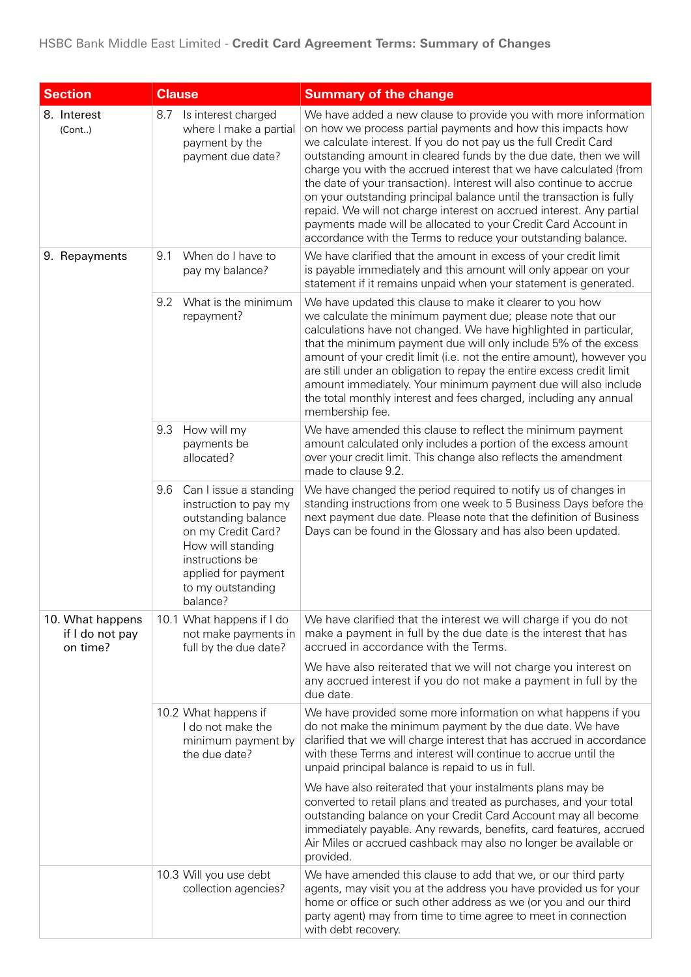## HSBC Bank Middle East Limited - Credit Card Agreement Terms: Summary of Changes

| <b>Section</b>                                  | <b>Clause</b>                                                                                                                                                                                       | <b>Summary of the change</b>                                                                                                                                                                                                                                                                                                                                                                                                                                                                                                                                                                                                                                                                             |
|-------------------------------------------------|-----------------------------------------------------------------------------------------------------------------------------------------------------------------------------------------------------|----------------------------------------------------------------------------------------------------------------------------------------------------------------------------------------------------------------------------------------------------------------------------------------------------------------------------------------------------------------------------------------------------------------------------------------------------------------------------------------------------------------------------------------------------------------------------------------------------------------------------------------------------------------------------------------------------------|
| 8. Interest<br>(Cont.)                          | Is interest charged<br>8.7<br>where I make a partial<br>payment by the<br>payment due date?                                                                                                         | We have added a new clause to provide you with more information<br>on how we process partial payments and how this impacts how<br>we calculate interest. If you do not pay us the full Credit Card<br>outstanding amount in cleared funds by the due date, then we will<br>charge you with the accrued interest that we have calculated (from<br>the date of your transaction). Interest will also continue to accrue<br>on your outstanding principal balance until the transaction is fully<br>repaid. We will not charge interest on accrued interest. Any partial<br>payments made will be allocated to your Credit Card Account in<br>accordance with the Terms to reduce your outstanding balance. |
| 9. Repayments                                   | When do I have to<br>9.1<br>pay my balance?                                                                                                                                                         | We have clarified that the amount in excess of your credit limit<br>is payable immediately and this amount will only appear on your<br>statement if it remains unpaid when your statement is generated.                                                                                                                                                                                                                                                                                                                                                                                                                                                                                                  |
|                                                 | What is the minimum<br>9.2<br>repayment?                                                                                                                                                            | We have updated this clause to make it clearer to you how<br>we calculate the minimum payment due; please note that our<br>calculations have not changed. We have highlighted in particular,<br>that the minimum payment due will only include 5% of the excess<br>amount of your credit limit (i.e. not the entire amount), however you<br>are still under an obligation to repay the entire excess credit limit<br>amount immediately. Your minimum payment due will also include<br>the total monthly interest and fees charged, including any annual<br>membership fee.                                                                                                                              |
|                                                 | How will my<br>9.3<br>payments be<br>allocated?                                                                                                                                                     | We have amended this clause to reflect the minimum payment<br>amount calculated only includes a portion of the excess amount<br>over your credit limit. This change also reflects the amendment<br>made to clause 9.2.                                                                                                                                                                                                                                                                                                                                                                                                                                                                                   |
|                                                 | 9.6<br>Can I issue a standing<br>instruction to pay my<br>outstanding balance<br>on my Credit Card?<br>How will standing<br>instructions be<br>applied for payment<br>to my outstanding<br>balance? | We have changed the period required to notify us of changes in<br>standing instructions from one week to 5 Business Days before the<br>next payment due date. Please note that the definition of Business<br>Days can be found in the Glossary and has also been updated.                                                                                                                                                                                                                                                                                                                                                                                                                                |
| 10. What happens<br>if I do not pay<br>on time? | 10.1 What happens if I do<br>not make payments in<br>full by the due date?                                                                                                                          | We have clarified that the interest we will charge if you do not<br>make a payment in full by the due date is the interest that has<br>accrued in accordance with the Terms.                                                                                                                                                                                                                                                                                                                                                                                                                                                                                                                             |
|                                                 |                                                                                                                                                                                                     | We have also reiterated that we will not charge you interest on<br>any accrued interest if you do not make a payment in full by the<br>due date.                                                                                                                                                                                                                                                                                                                                                                                                                                                                                                                                                         |
|                                                 | 10.2 What happens if<br>I do not make the<br>minimum payment by<br>the due date?                                                                                                                    | We have provided some more information on what happens if you<br>do not make the minimum payment by the due date. We have<br>clarified that we will charge interest that has accrued in accordance<br>with these Terms and interest will continue to accrue until the<br>unpaid principal balance is repaid to us in full.                                                                                                                                                                                                                                                                                                                                                                               |
|                                                 |                                                                                                                                                                                                     | We have also reiterated that your instalments plans may be<br>converted to retail plans and treated as purchases, and your total<br>outstanding balance on your Credit Card Account may all become<br>immediately payable. Any rewards, benefits, card features, accrued<br>Air Miles or accrued cashback may also no longer be available or<br>provided.                                                                                                                                                                                                                                                                                                                                                |
|                                                 | 10.3 Will you use debt<br>collection agencies?                                                                                                                                                      | We have amended this clause to add that we, or our third party<br>agents, may visit you at the address you have provided us for your<br>home or office or such other address as we (or you and our third<br>party agent) may from time to time agree to meet in connection<br>with debt recovery.                                                                                                                                                                                                                                                                                                                                                                                                        |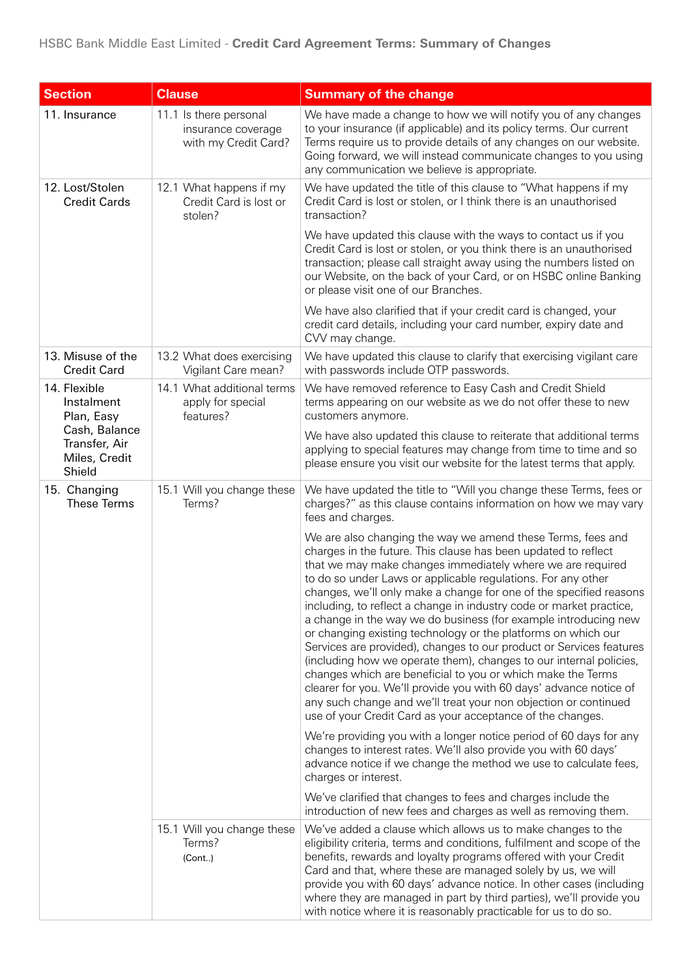| <b>Section</b>                                            | <b>Clause</b>                                                        | <b>Summary of the change</b>                                                                                                                                                                                                                                                                                                                                                                                                                                                                                                                                                                                                                                                                                                                                                                                                                                                                                                                                    |
|-----------------------------------------------------------|----------------------------------------------------------------------|-----------------------------------------------------------------------------------------------------------------------------------------------------------------------------------------------------------------------------------------------------------------------------------------------------------------------------------------------------------------------------------------------------------------------------------------------------------------------------------------------------------------------------------------------------------------------------------------------------------------------------------------------------------------------------------------------------------------------------------------------------------------------------------------------------------------------------------------------------------------------------------------------------------------------------------------------------------------|
| 11. Insurance                                             | 11.1 Is there personal<br>insurance coverage<br>with my Credit Card? | We have made a change to how we will notify you of any changes<br>to your insurance (if applicable) and its policy terms. Our current<br>Terms require us to provide details of any changes on our website.<br>Going forward, we will instead communicate changes to you using<br>any communication we believe is appropriate.                                                                                                                                                                                                                                                                                                                                                                                                                                                                                                                                                                                                                                  |
| 12. Lost/Stolen<br><b>Credit Cards</b>                    | 12.1 What happens if my<br>Credit Card is lost or<br>stolen?         | We have updated the title of this clause to "What happens if my<br>Credit Card is lost or stolen, or I think there is an unauthorised<br>transaction?                                                                                                                                                                                                                                                                                                                                                                                                                                                                                                                                                                                                                                                                                                                                                                                                           |
|                                                           |                                                                      | We have updated this clause with the ways to contact us if you<br>Credit Card is lost or stolen, or you think there is an unauthorised<br>transaction; please call straight away using the numbers listed on<br>our Website, on the back of your Card, or on HSBC online Banking<br>or please visit one of our Branches.                                                                                                                                                                                                                                                                                                                                                                                                                                                                                                                                                                                                                                        |
|                                                           |                                                                      | We have also clarified that if your credit card is changed, your<br>credit card details, including your card number, expiry date and<br>CVV may change.                                                                                                                                                                                                                                                                                                                                                                                                                                                                                                                                                                                                                                                                                                                                                                                                         |
| 13. Misuse of the<br><b>Credit Card</b>                   | 13.2 What does exercising<br>Vigilant Care mean?                     | We have updated this clause to clarify that exercising vigilant care<br>with passwords include OTP passwords.                                                                                                                                                                                                                                                                                                                                                                                                                                                                                                                                                                                                                                                                                                                                                                                                                                                   |
| 14. Flexible<br>Instalment<br>Plan, Easy                  | 14.1 What additional terms<br>apply for special<br>features?         | We have removed reference to Easy Cash and Credit Shield<br>terms appearing on our website as we do not offer these to new<br>customers anymore.                                                                                                                                                                                                                                                                                                                                                                                                                                                                                                                                                                                                                                                                                                                                                                                                                |
| Cash, Balance<br>Transfer, Air<br>Miles, Credit<br>Shield |                                                                      | We have also updated this clause to reiterate that additional terms<br>applying to special features may change from time to time and so<br>please ensure you visit our website for the latest terms that apply.                                                                                                                                                                                                                                                                                                                                                                                                                                                                                                                                                                                                                                                                                                                                                 |
| 15. Changing<br>These Terms                               | 15.1 Will you change these<br>Terms?                                 | We have updated the title to "Will you change these Terms, fees or<br>charges?" as this clause contains information on how we may vary<br>fees and charges.                                                                                                                                                                                                                                                                                                                                                                                                                                                                                                                                                                                                                                                                                                                                                                                                     |
|                                                           |                                                                      | We are also changing the way we amend these Terms, fees and<br>charges in the future. This clause has been updated to reflect<br>that we may make changes immediately where we are required<br>to do so under Laws or applicable regulations. For any other<br>changes, we'll only make a change for one of the specified reasons<br>including, to reflect a change in industry code or market practice,<br>a change in the way we do business (for example introducing new<br>or changing existing technology or the platforms on which our<br>Services are provided), changes to our product or Services features<br>(including how we operate them), changes to our internal policies,<br>changes which are beneficial to you or which make the Terms<br>clearer for you. We'll provide you with 60 days' advance notice of<br>any such change and we'll treat your non objection or continued<br>use of your Credit Card as your acceptance of the changes. |
|                                                           |                                                                      | We're providing you with a longer notice period of 60 days for any<br>changes to interest rates. We'll also provide you with 60 days'<br>advance notice if we change the method we use to calculate fees,<br>charges or interest.                                                                                                                                                                                                                                                                                                                                                                                                                                                                                                                                                                                                                                                                                                                               |
|                                                           |                                                                      | We've clarified that changes to fees and charges include the<br>introduction of new fees and charges as well as removing them.                                                                                                                                                                                                                                                                                                                                                                                                                                                                                                                                                                                                                                                                                                                                                                                                                                  |
|                                                           | 15.1 Will you change these<br>Terms?<br>(Cont)                       | We've added a clause which allows us to make changes to the<br>eligibility criteria, terms and conditions, fulfilment and scope of the<br>benefits, rewards and loyalty programs offered with your Credit<br>Card and that, where these are managed solely by us, we will<br>provide you with 60 days' advance notice. In other cases (including<br>where they are managed in part by third parties), we'll provide you<br>with notice where it is reasonably practicable for us to do so.                                                                                                                                                                                                                                                                                                                                                                                                                                                                      |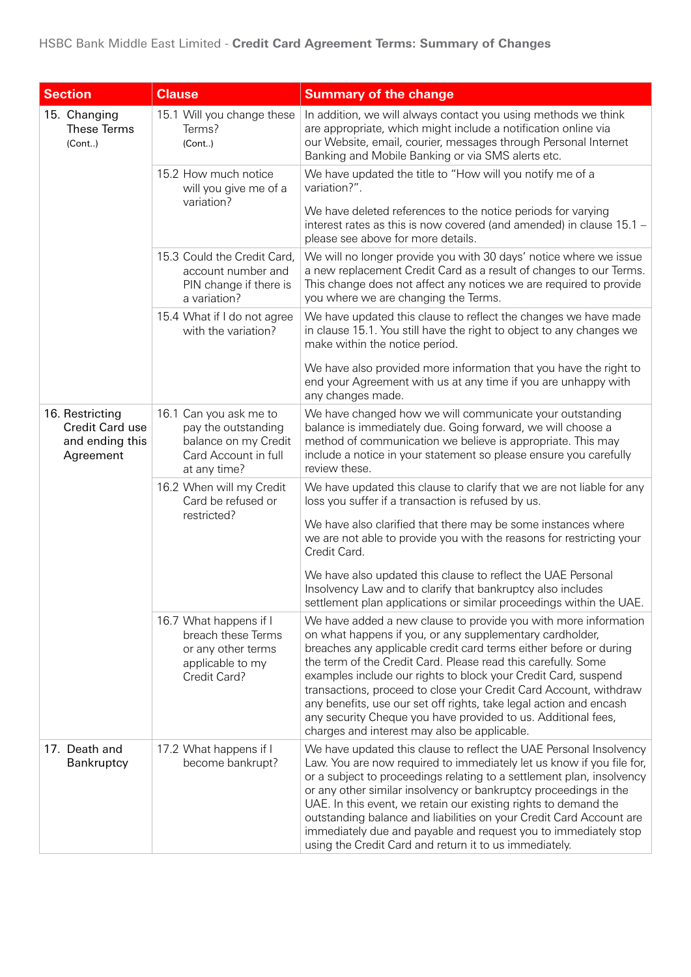| <b>Section</b>                                                     | <b>Clause</b>                                                                                                 | <b>Summary of the change</b>                                                                                                                                                                                                                                                                                                                                                                                                                                                                                                                                                                    |
|--------------------------------------------------------------------|---------------------------------------------------------------------------------------------------------------|-------------------------------------------------------------------------------------------------------------------------------------------------------------------------------------------------------------------------------------------------------------------------------------------------------------------------------------------------------------------------------------------------------------------------------------------------------------------------------------------------------------------------------------------------------------------------------------------------|
| 15. Changing<br><b>These Terms</b><br>(Cont.)                      | 15.1 Will you change these<br>Terms?<br>(Cont.)                                                               | In addition, we will always contact you using methods we think<br>are appropriate, which might include a notification online via<br>our Website, email, courier, messages through Personal Internet<br>Banking and Mobile Banking or via SMS alerts etc.                                                                                                                                                                                                                                                                                                                                        |
|                                                                    | 15.2 How much notice<br>will you give me of a                                                                 | We have updated the title to "How will you notify me of a<br>variation?".                                                                                                                                                                                                                                                                                                                                                                                                                                                                                                                       |
|                                                                    | variation?                                                                                                    | We have deleted references to the notice periods for varying<br>interest rates as this is now covered (and amended) in clause 15.1 -<br>please see above for more details.                                                                                                                                                                                                                                                                                                                                                                                                                      |
|                                                                    | 15.3 Could the Credit Card,<br>account number and<br>PIN change if there is<br>a variation?                   | We will no longer provide you with 30 days' notice where we issue<br>a new replacement Credit Card as a result of changes to our Terms.<br>This change does not affect any notices we are required to provide<br>you where we are changing the Terms.                                                                                                                                                                                                                                                                                                                                           |
|                                                                    | 15.4 What if I do not agree<br>with the variation?                                                            | We have updated this clause to reflect the changes we have made<br>in clause 15.1. You still have the right to object to any changes we<br>make within the notice period.                                                                                                                                                                                                                                                                                                                                                                                                                       |
|                                                                    |                                                                                                               | We have also provided more information that you have the right to<br>end your Agreement with us at any time if you are unhappy with<br>any changes made.                                                                                                                                                                                                                                                                                                                                                                                                                                        |
| 16. Restricting<br>Credit Card use<br>and ending this<br>Agreement | 16.1 Can you ask me to<br>pay the outstanding<br>balance on my Credit<br>Card Account in full<br>at any time? | We have changed how we will communicate your outstanding<br>balance is immediately due. Going forward, we will choose a<br>method of communication we believe is appropriate. This may<br>include a notice in your statement so please ensure you carefully<br>review these.                                                                                                                                                                                                                                                                                                                    |
|                                                                    | 16.2 When will my Credit<br>Card be refused or                                                                | We have updated this clause to clarify that we are not liable for any<br>loss you suffer if a transaction is refused by us.                                                                                                                                                                                                                                                                                                                                                                                                                                                                     |
|                                                                    | restricted?                                                                                                   | We have also clarified that there may be some instances where<br>we are not able to provide you with the reasons for restricting your<br>Credit Card.                                                                                                                                                                                                                                                                                                                                                                                                                                           |
|                                                                    |                                                                                                               | We have also updated this clause to reflect the UAE Personal<br>Insolvency Law and to clarify that bankruptcy also includes<br>settlement plan applications or similar proceedings within the UAE.                                                                                                                                                                                                                                                                                                                                                                                              |
|                                                                    | 16.7 What happens if I<br>breach these Terms<br>or any other terms<br>applicable to my<br>Credit Card?        | We have added a new clause to provide you with more information<br>on what happens if you, or any supplementary cardholder,<br>breaches any applicable credit card terms either before or during<br>the term of the Credit Card. Please read this carefully. Some<br>examples include our rights to block your Credit Card, suspend<br>transactions, proceed to close your Credit Card Account, withdraw<br>any benefits, use our set off rights, take legal action and encash<br>any security Cheque you have provided to us. Additional fees,<br>charges and interest may also be applicable. |
| 17. Death and<br>Bankruptcy                                        | 17.2 What happens if I<br>become bankrupt?                                                                    | We have updated this clause to reflect the UAE Personal Insolvency<br>Law. You are now required to immediately let us know if you file for,<br>or a subject to proceedings relating to a settlement plan, insolvency<br>or any other similar insolvency or bankruptcy proceedings in the<br>UAE. In this event, we retain our existing rights to demand the<br>outstanding balance and liabilities on your Credit Card Account are<br>immediately due and payable and request you to immediately stop<br>using the Credit Card and return it to us immediately.                                 |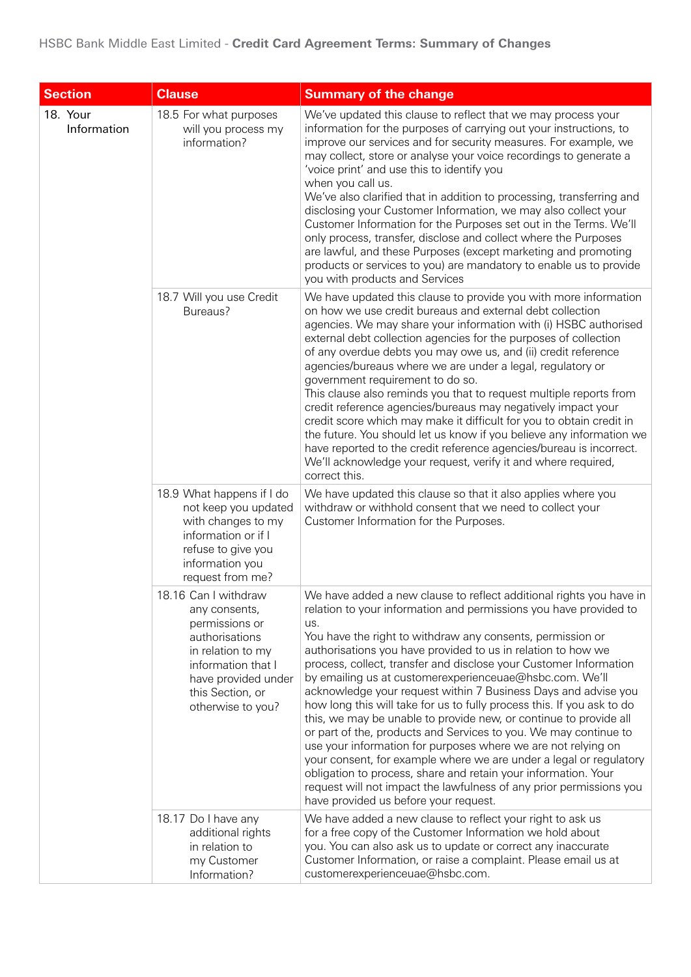| <b>Section</b>          | <b>Clause</b>                                                                                                                                                                        | <b>Summary of the change</b>                                                                                                                                                                                                                                                                                                                                                                                                                                                                                                                                                                                                                                                                                                                                                                                                                                                                                                                                                                                                |
|-------------------------|--------------------------------------------------------------------------------------------------------------------------------------------------------------------------------------|-----------------------------------------------------------------------------------------------------------------------------------------------------------------------------------------------------------------------------------------------------------------------------------------------------------------------------------------------------------------------------------------------------------------------------------------------------------------------------------------------------------------------------------------------------------------------------------------------------------------------------------------------------------------------------------------------------------------------------------------------------------------------------------------------------------------------------------------------------------------------------------------------------------------------------------------------------------------------------------------------------------------------------|
| 18. Your<br>Information | 18.5 For what purposes<br>will you process my<br>information?                                                                                                                        | We've updated this clause to reflect that we may process your<br>information for the purposes of carrying out your instructions, to<br>improve our services and for security measures. For example, we<br>may collect, store or analyse your voice recordings to generate a<br>'voice print' and use this to identify you<br>when you call us.<br>We've also clarified that in addition to processing, transferring and<br>disclosing your Customer Information, we may also collect your<br>Customer Information for the Purposes set out in the Terms. We'll<br>only process, transfer, disclose and collect where the Purposes<br>are lawful, and these Purposes (except marketing and promoting<br>products or services to you) are mandatory to enable us to provide<br>you with products and Services                                                                                                                                                                                                                 |
|                         | 18.7 Will you use Credit<br>Bureaus?                                                                                                                                                 | We have updated this clause to provide you with more information<br>on how we use credit bureaus and external debt collection<br>agencies. We may share your information with (i) HSBC authorised<br>external debt collection agencies for the purposes of collection<br>of any overdue debts you may owe us, and (ii) credit reference<br>agencies/bureaus where we are under a legal, regulatory or<br>government requirement to do so.<br>This clause also reminds you that to request multiple reports from<br>credit reference agencies/bureaus may negatively impact your<br>credit score which may make it difficult for you to obtain credit in<br>the future. You should let us know if you believe any information we<br>have reported to the credit reference agencies/bureau is incorrect.<br>We'll acknowledge your request, verify it and where required,<br>correct this.                                                                                                                                    |
|                         | 18.9 What happens if I do<br>not keep you updated<br>with changes to my<br>information or if I<br>refuse to give you<br>information you<br>request from me?                          | We have updated this clause so that it also applies where you<br>withdraw or withhold consent that we need to collect your<br>Customer Information for the Purposes.                                                                                                                                                                                                                                                                                                                                                                                                                                                                                                                                                                                                                                                                                                                                                                                                                                                        |
|                         | 18.16 Can I withdraw<br>any consents,<br>permissions or<br>authorisations<br>in relation to my<br>information that I<br>have provided under<br>this Section, or<br>otherwise to you? | We have added a new clause to reflect additional rights you have in<br>relation to your information and permissions you have provided to<br>us.<br>You have the right to withdraw any consents, permission or<br>authorisations you have provided to us in relation to how we<br>process, collect, transfer and disclose your Customer Information<br>by emailing us at customerexperienceuae@hsbc.com. We'll<br>acknowledge your request within 7 Business Days and advise you<br>how long this will take for us to fully process this. If you ask to do<br>this, we may be unable to provide new, or continue to provide all<br>or part of the, products and Services to you. We may continue to<br>use your information for purposes where we are not relying on<br>your consent, for example where we are under a legal or regulatory<br>obligation to process, share and retain your information. Your<br>request will not impact the lawfulness of any prior permissions you<br>have provided us before your request. |
|                         | 18.17 Do I have any<br>additional rights<br>in relation to<br>my Customer<br>Information?                                                                                            | We have added a new clause to reflect your right to ask us<br>for a free copy of the Customer Information we hold about<br>you. You can also ask us to update or correct any inaccurate<br>Customer Information, or raise a complaint. Please email us at<br>customerexperienceuae@hsbc.com.                                                                                                                                                                                                                                                                                                                                                                                                                                                                                                                                                                                                                                                                                                                                |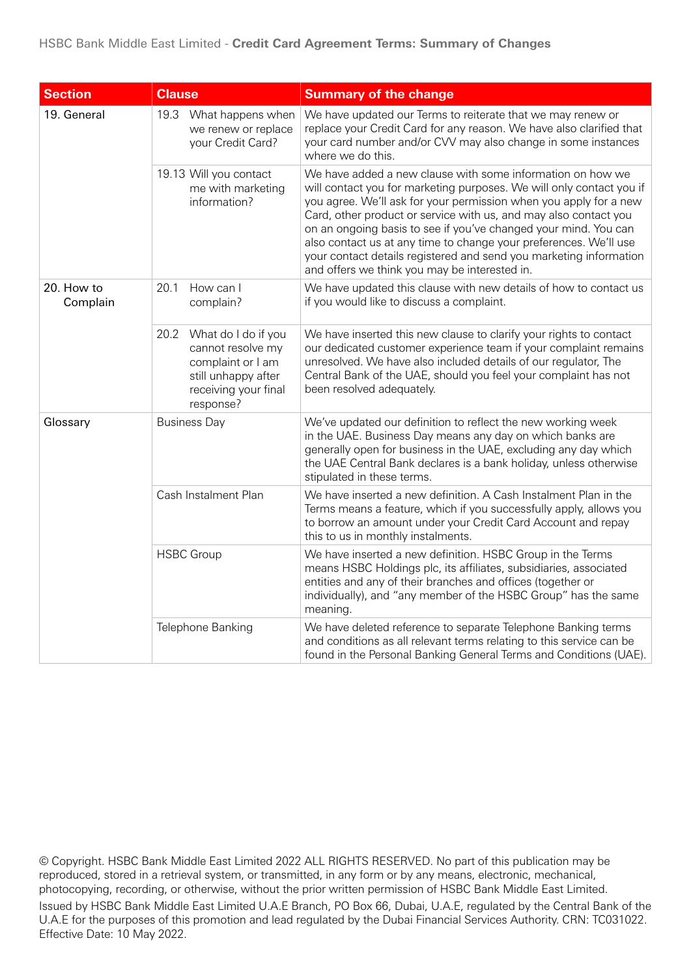| <b>Section</b>         | <b>Clause</b>                                                                                                                     | <b>Summary of the change</b>                                                                                                                                                                                                                                                                                                                                                                                                                                                                                                               |
|------------------------|-----------------------------------------------------------------------------------------------------------------------------------|--------------------------------------------------------------------------------------------------------------------------------------------------------------------------------------------------------------------------------------------------------------------------------------------------------------------------------------------------------------------------------------------------------------------------------------------------------------------------------------------------------------------------------------------|
| 19. General            | 19.3<br>What happens when<br>we renew or replace<br>your Credit Card?                                                             | We have updated our Terms to reiterate that we may renew or<br>replace your Credit Card for any reason. We have also clarified that<br>your card number and/or CVV may also change in some instances<br>where we do this.                                                                                                                                                                                                                                                                                                                  |
|                        | 19.13 Will you contact<br>me with marketing<br>information?                                                                       | We have added a new clause with some information on how we<br>will contact you for marketing purposes. We will only contact you if<br>you agree. We'll ask for your permission when you apply for a new<br>Card, other product or service with us, and may also contact you<br>on an ongoing basis to see if you've changed your mind. You can<br>also contact us at any time to change your preferences. We'll use<br>your contact details registered and send you marketing information<br>and offers we think you may be interested in. |
| 20. How to<br>Complain | How can I<br>20.1<br>complain?                                                                                                    | We have updated this clause with new details of how to contact us<br>if you would like to discuss a complaint.                                                                                                                                                                                                                                                                                                                                                                                                                             |
|                        | 20.2<br>What do I do if you<br>cannot resolve my<br>complaint or I am<br>still unhappy after<br>receiving your final<br>response? | We have inserted this new clause to clarify your rights to contact<br>our dedicated customer experience team if your complaint remains<br>unresolved. We have also included details of our regulator, The<br>Central Bank of the UAE, should you feel your complaint has not<br>been resolved adequately.                                                                                                                                                                                                                                  |
| Glossary               | <b>Business Day</b>                                                                                                               | We've updated our definition to reflect the new working week<br>in the UAE. Business Day means any day on which banks are<br>generally open for business in the UAE, excluding any day which<br>the UAE Central Bank declares is a bank holiday, unless otherwise<br>stipulated in these terms.                                                                                                                                                                                                                                            |
|                        | Cash Instalment Plan                                                                                                              | We have inserted a new definition. A Cash Instalment Plan in the<br>Terms means a feature, which if you successfully apply, allows you<br>to borrow an amount under your Credit Card Account and repay<br>this to us in monthly instalments.                                                                                                                                                                                                                                                                                               |
|                        | <b>HSBC Group</b>                                                                                                                 | We have inserted a new definition. HSBC Group in the Terms<br>means HSBC Holdings plc, its affiliates, subsidiaries, associated<br>entities and any of their branches and offices (together or<br>individually), and "any member of the HSBC Group" has the same<br>meaning.                                                                                                                                                                                                                                                               |
|                        | Telephone Banking                                                                                                                 | We have deleted reference to separate Telephone Banking terms<br>and conditions as all relevant terms relating to this service can be<br>found in the Personal Banking General Terms and Conditions (UAE).                                                                                                                                                                                                                                                                                                                                 |

© Copyright. HSBC Bank Middle East Limited 2022 ALL RIGHTS RESERVED. No part of this publication may be reproduced, stored in a retrieval system, or transmitted, in any form or by any means, electronic, mechanical, photocopying, recording, or otherwise, without the prior written permission of HSBC Bank Middle East Limited. Issued by HSBC Bank Middle East Limited U.A.E Branch, PO Box 66, Dubai, U.A.E, regulated by the Central Bank of the U.A.E for the purposes of this promotion and lead regulated by the Dubai Financial Services Authority. CRN: TC031022. Effective Date: 10 May 2022.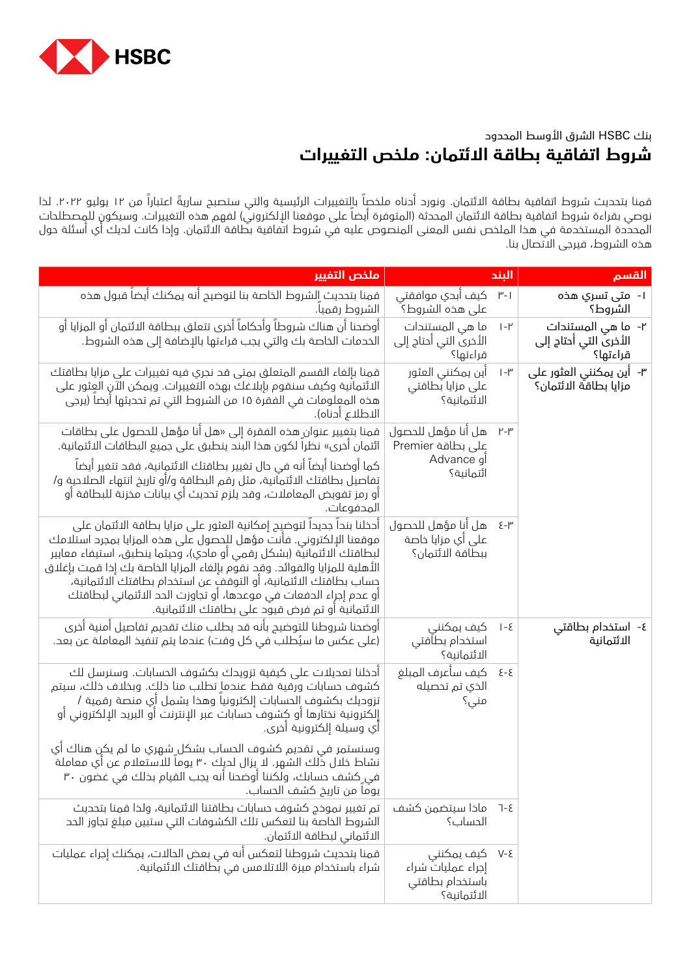

## بنك HSBC الشرق األوسط المحدود **شروط اتفاقية بطاقة االئتمان: ملخص التغييرات**

قمنا بتحديث شروط اتفاقية بطاقة الائتمان. ونورد أدناه ملخصاً بالتغييرات الرئيسية والتي ستصبح ساريةً اعتباراً من ١٢ يوليو ٢٠٢٢. لذا نوصي بقراءة شروط اتفاقية بطاقة الائتمان المحدثة (المتوفرة أيضاً على موقعنا الإلكتروني) لفهم هذه التغييرات. وسيكون للمصطلحات المحددة المستخدمة في هذا الملخص نفس المعنى المنصوص عليه في شروط اتفاقية بطاقة االئتمان. وإذا كانت لديك أي أسئلة حول هذه الشروط، فيرجى االتصال بنا.

| ملذص التفيير                                                                                                                                                                                                                                                                                                                                                                                                                                                                               |                                                                   | الىند             | القسم                                                   |
|--------------------------------------------------------------------------------------------------------------------------------------------------------------------------------------------------------------------------------------------------------------------------------------------------------------------------------------------------------------------------------------------------------------------------------------------------------------------------------------------|-------------------------------------------------------------------|-------------------|---------------------------------------------------------|
| قمنا بتحديث الشروط الخاصة بنا لتوضيح أنه يمكنك أيضاً قبول هذه<br>الشروط رقميا.                                                                                                                                                                                                                                                                                                                                                                                                             | ۳-۱    کیف اُبدي موافقتی<br>على هذه الشروط؟ ۖ                     |                   | ا-  متى تسري ھذە<br>الشروط؟                             |
| أوضحنا أن هناك شروطاً وأحكاماً أخرى تتعلق ببطاقة الائتمان أو المزايا أو<br>الخدمات الخاصة بك والتي يجب قراءتها بالإضافة إلى هذه الشروط.                                                                                                                                                                                                                                                                                                                                                    | ما هي المستندات<br>الأخرى التي أحتاج إلى<br>قراءتها؟              | $ -1$             | ٢- ما هي المستندات<br>الأخرى التي أحتاج إلى<br>قراءتها؟ |
| قمنا بإلغاء القسم المتعلق بمتى قد نجري فيه تغييرات على مزايا بطاقتك<br>الائتمانية وكيف سنقوم بإبلاغك بهذه التغييرات. ويمكن الآن العثور على<br>هذه المعلومات في الفقرة ١٥ من الشروط التي تم تحديثها أيضا (يرجي<br>الاطلاع أدناه).                                                                                                                                                                                                                                                           | أين يمكنني العثور<br>على مزايا بطاقتي<br>الائتمانية؟              | $ -1$             | ۳- أين يمكنني العثور على<br>مزايا بطاقة الائتمان؟       |
| قمنا بتغيير عنوان هذه الفقرة إلى «هل أنا مؤهل للحصول على بطاقات<br>ائتمان أخرى» نظراً لكون هذا البند ينطبق على جميع البطاقات الائتمانية.                                                                                                                                                                                                                                                                                                                                                   | هل أنا مؤهل للحصول<br>على بطاقة Premier                           | ۲-۳               |                                                         |
| كما أوضحنا أيضاً أنه في حال تغيير بطاقتك الائتمانية، فقد تتغير اَيضا<br>تفاصيل بطاقتك الائتمانية، مثل رقم البطاقة و/أو تاريخ انتهاء الصلاحية و/<br>أو رمز تفويض المعاملات، وقد يلزم تحديث أي بيانات مخزنة للبطاقة أو<br>المحفوعات.                                                                                                                                                                                                                                                         | Advance j<br>ائتمانية؟                                            |                   |                                                         |
| أحخلنا بندا جديدا لتوضيح إمكانية العثور على مزايا بطاقة الائتمان على<br>موقعنا الإلكتروني. فأنت مؤهل للحصول على هذه المزايا بمجرد استلامك<br>لبطاقتك الائتمانية (بشكل رقمي أو مادي)، وحيثما ينطبق، استيفاء معايير<br>الأهلية للمزايا والفوائد. وقد نقوم بإلغاء المزايا الخاصة بك إذا قمت بإغلاق<br>حساب بطاقتك الائتمانية، أو التوقف عن استخدام بطاقتك الائتمانية،<br>أو عدم إجراء الدفعات في موعدها، أو تجاوزت الحد الائتماني لبطاقتك<br>الائتمانية أو تم فرض قيود على بطاقتك الائتمانية. | هل أنا مؤهل للحصول<br>على أي مزايا خاصة<br>ببطاقة الائتمان؟       | ۳-ع               |                                                         |
| أوضحنا شروطنا للتوضيح بأنه قد يطلب منك تقديم تفاصيل أمنية أخرى<br>(على عكس ما سيُطلب في كل وقت) عندما يتم تنفيذ المعاملة عن بعد.                                                                                                                                                                                                                                                                                                                                                           | كيف يمكنني<br>استخدام بطأقتي<br>الائتمانية؟                       | ع- ا              | ٤- استخدام بطاقتي<br>الائتمانية                         |
| احخلنا تعديلات على كيفية تزويدك بكشوف الحسابات. وسنرسل لك<br>كشوف حسابات ورقية فقط عندما تطلب منا ذلك. وبخلاف ذلك، سيتم<br>تزوديك بكشوف الحسابات إلكترونيا وهذا يشمل أي منصة رقمية /<br>إلكترونية نختارها أو كشوف حسابات عبر الإنترنت أو البريد الإلكتروني أو<br>أي وسيلة إلكترونية أخرى.                                                                                                                                                                                                  | كيف سأعرف المبلغ<br>الذي تم تحصيله<br>منی؟                        | $5 - 5$           |                                                         |
| وسنستمر في تقحيم كشوف الحساب بشكل شهري ما لم يكن هناك أي<br>نشاط خلال ذَلك الشهر. لا يزال لحيك ٣٠ يوما للاستعلام عن أي معاملة<br>في ِكشف حسابك، ولكننا أوضحنا أنه يجب القيام بخلك في غضون ٣٠<br>يومًا من تاريخ كشف الحساب.                                                                                                                                                                                                                                                                 |                                                                   |                   |                                                         |
| تم تغيير نموخج كشوف حسابات بطاقتنا الائتمانية، ولذا قمنا بتحديث<br>الشروط الخاصة بنا لتعكس تلك الكشوفات التي ستبين مبلغ تجاوز الحد<br>الائتماني لبطاقة الائتمان.                                                                                                                                                                                                                                                                                                                           | ماذا سيتضمن كشف<br>الحساب؟                                        | $7 - 5$           |                                                         |
| قمنا بتحديث شروطنا لتعكس أنه في بعض الحالات، يمكنك إجراء عمليات<br>شراء باستخدام ميزة اللاتلامس في بطاقتك الائتمانية.                                                                                                                                                                                                                                                                                                                                                                      | كيف يمكنني<br>إجراء عمليات شراء<br>باستخدام بطاقتي<br>الائتمانية؟ | $V - \mathcal{E}$ |                                                         |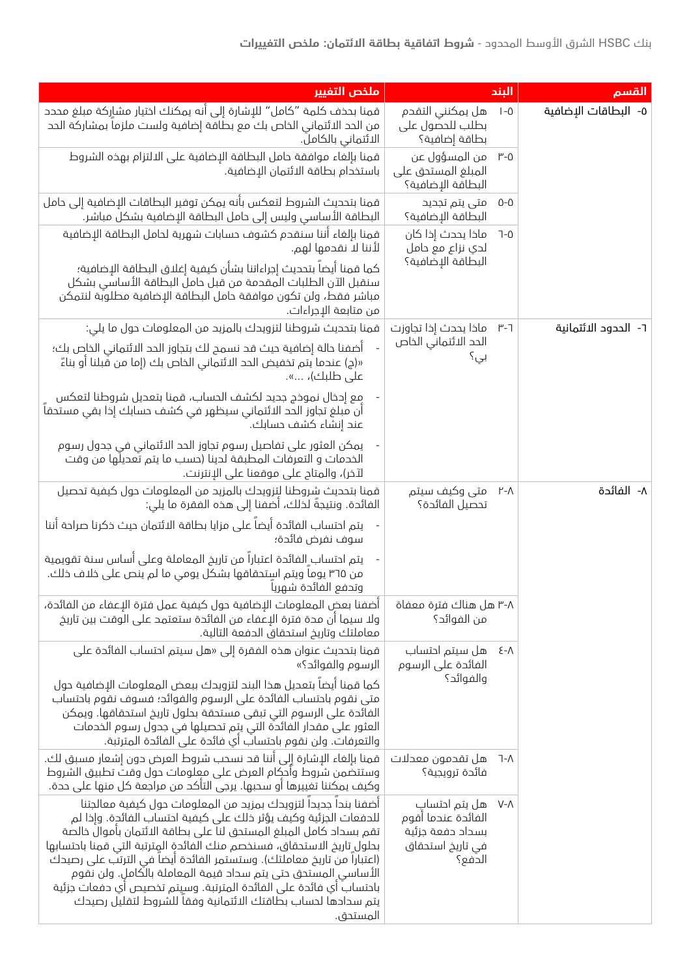| ملخص التفيير                                                                                                                                                                                                                                                                                                                                                                                                                                                                                                                                                              |                                                                                       | البند       | القسم                |
|---------------------------------------------------------------------------------------------------------------------------------------------------------------------------------------------------------------------------------------------------------------------------------------------------------------------------------------------------------------------------------------------------------------------------------------------------------------------------------------------------------------------------------------------------------------------------|---------------------------------------------------------------------------------------|-------------|----------------------|
| قمنا بحذف كلمة "كامل" للإشارة إلى أنه يمكنك اختيار مشاركة مبلغ مححد<br>من الحد الائتماني الخاص بك مع بطاقة إضافية ولست ملزما بمشاركة الحد<br>الائتماني بالكاملُ.                                                                                                                                                                                                                                                                                                                                                                                                          | هل يمكنني التقدم<br>بطلب للحصول على<br>بطاقة إضافية؟                                  | $I - 0$     | ٥- البطاقات الإضافية |
| قمنا بإلغاء موافقة حامل البطاقة الإضافية على الالتزام بهذه الشروط<br>باستخدام بطاقة الائتمان الإضافية.                                                                                                                                                                                                                                                                                                                                                                                                                                                                    | من المسؤول عن<br>المبلغ المستحق على<br>البطاقة الإضافية؟                              | $^{\mu}$ -0 |                      |
| قمنا بتحديث الشروط لتعكس بأنه يمكن توفير البطاقات الإضافية إلى حامل<br>البطاقة الأساسي وليس إلى حامل البطاقة الإضافية بشكل مباشر.                                                                                                                                                                                                                                                                                                                                                                                                                                         | متی پتم تجدید<br>البطاقة الإضافية؟                                                    | $0 - 0$     |                      |
| قمنا بإلغاء أننا سنقدم كشوف حسابات شهرية لحامل البطاقة الإضافية<br>لأننا لا نقدمها لهم.                                                                                                                                                                                                                                                                                                                                                                                                                                                                                   | ماذا يحدث إذا كان<br>لدي نزاع مع حامل                                                 | $7 - 0$     |                      |
| كما قمنا أيضا بتحديث إجراءاتنا بشأن كيفية إغلاق البطاقة الإضافية؛<br>سنقبل الآن الطلبات المقدمة من قبل حامل البطاقة الأساسي بشكل<br>مباشر فقط، ولن تكون موافقة حامل البطاقة الإضافية مطلوبة لنتمكن<br>من متابعة الإجراءات.                                                                                                                                                                                                                                                                                                                                                | البطاقة الإضافية؟                                                                     |             |                      |
| قمنا بتحديث شروطنا لتزويدك بالمزيد من المعلومات حول ما يلي:                                                                                                                                                                                                                                                                                                                                                                                                                                                                                                               | ٦-٣ ماذا يحدث إذا تجاوزت                                                              |             | ٦- الحدود الائتمانية |
| أضفنا حالة إضافية حيث قد نسمح لك بتجاوز الحد الائتماني الخاص بك؛<br>«(ج) عندما يتم تخفيض الحد الائتماني الخاص بك (إما من قبلنا أو بناءً<br>على طلبك)، ».                                                                                                                                                                                                                                                                                                                                                                                                                  | الحد الائتماني الخاص<br>بی؟                                                           |             |                      |
| مع إحخال نموخج جحيد لكشف الحساب، قمنا بتعديل شروطنا لتعكس<br>أن مبلغ تجاوز الحد الائتماني سيظهر في كشف حسابك إخا بقي مستحقا<br>عند إنشاء كشف حسابك.                                                                                                                                                                                                                                                                                                                                                                                                                       |                                                                                       |             |                      |
| يمكن العثور على تفاصيل رسوم تجاوز الحد الائتماني في جدول رسوم<br>الخدمات و التعرفات المطبقة لدينا (حسب ما يتم تُعديلُها من وقت<br>لآخر)، والمتاح على موقعنا على الإنترنت.                                                                                                                                                                                                                                                                                                                                                                                                 |                                                                                       |             |                      |
| قمنا بتحديث شروطنا لتزويدك بالمزيد من المعلومات حول كيفية تحصيل<br>الفائدة. ونتيجةً لذلك، أضفنا إلى هذه الفقرة ما يلي:                                                                                                                                                                                                                                                                                                                                                                                                                                                    | متی وکیف سیتم<br>تحصيل الفائدة؟                                                       | ۲-۸         | ٨- الفائدة           |
| يتم احتساب الفائدة أيضا على مزايا بطاقة الائتمان حيث خكرنا صراحة أننا<br>سوف نفرض فائدة؛                                                                                                                                                                                                                                                                                                                                                                                                                                                                                  |                                                                                       |             |                      |
| يتم احتساب الفائدة اعتباراً من تاريخ المعاملة وعلى أساس سنة تقويمية<br>من ٣٦٥ يوما ويتم استحقاقها بشكل يومي ما لم ينص على خلاف خلك.<br>وتحفع الفائحة شهريا                                                                                                                                                                                                                                                                                                                                                                                                                |                                                                                       |             |                      |
| أضفنا بعض المعلومات الإضافية حول كيفية عمل فترة الإعفاء من الفائدة،<br>ولا سيما أن مدة فترة الإعفاء من الفائدة ستعتمد على الوقت بين تاريخ<br>معاملتك وتاريخ استحقاق الحفعة التالية.                                                                                                                                                                                                                                                                                                                                                                                       | ۳-۸ هل هناك فترة معفاة<br>من الفوائد؟                                                 |             |                      |
| قمنا بتحديث عنوان هذه الفقرة إلى «هل سيتم احتساب الفائدة على<br>الرسوم والفوائد؟»                                                                                                                                                                                                                                                                                                                                                                                                                                                                                         | هل سيتم احتساب<br>الفائدة على الرسوم                                                  | Σ−Λ         |                      |
| كما قمنا أيضا بتعديل هذا البند لتزويدك ببعض المعلومات الإضافية حول<br>متى نقوم باحتساب الفائدة على الرسوم والفوائد؛ فسوف نقوم باحتساب<br>الفائدة على الرسوم التي تبقي مستحقة بحلول تاريخ استحقاقها. ويمكن<br>العثور على مقدار الفائدة التي يتِم تحصيلها في جدول رسوم الخدمات<br>والتعرفات. ولن نقوم باحتسابٌ أي فائدة على الفائدة المترتبة.                                                                                                                                                                                                                               | والفوائد؟                                                                             |             |                      |
| قمنا بإلغاء الإشارة إلى أننا قد نسحب شروط العرض دون إشعار مسبق لك.<br>وستتضمن شروط وأحكام العرض على معلومات حول وقت تطبيق الشروط<br>وكيف يمكننا تغييرها أو سحبها. يرجى التأكد من مراجعة كل منها على حدة.                                                                                                                                                                                                                                                                                                                                                                  | هل تقدمون معدلات<br>فائدة ترويجية؟                                                    | 7-∧         |                      |
| أضفنا بندا جديدا لتزويدك بمزيد من المعلومات حول كيفية معالجتنا<br>للحفعات الجزئية وكيف يؤثر ذلك على كيفية احتساب الفائدة. وإذا لم<br>تقم بسداد كامل المبلغ المستحق لنا على بطاقة الائتمان بأموال خالصة<br>بحلول تاريخ الاستحقاق، فسنخصم منك الفائدة المِترتبة التي قمنا باحتسابها<br>(اعتبارا من تاريخ معاملتك). وستستمر الفائدة أيضا في الترتب على رصيدك<br>الأساسي المستحق حتى يتم سحاد قيمة المعاملة بالكامل. ولن نقوم<br>باحتساب أي فائدة على الفائدة المترتبة. وسيتم تخصيص أي دفعات جزئية<br>يتم سدادها لحساب بطاقتك الائتمانية وفقا للشروط لتقليل رصيدك<br>المستحق. | هل يتم احتساب<br>الفائدة عندما أقوم<br>بسداد دفعة جزئية<br>في تاريخ استحقاق<br>الدفع؟ | $V-\Lambda$ |                      |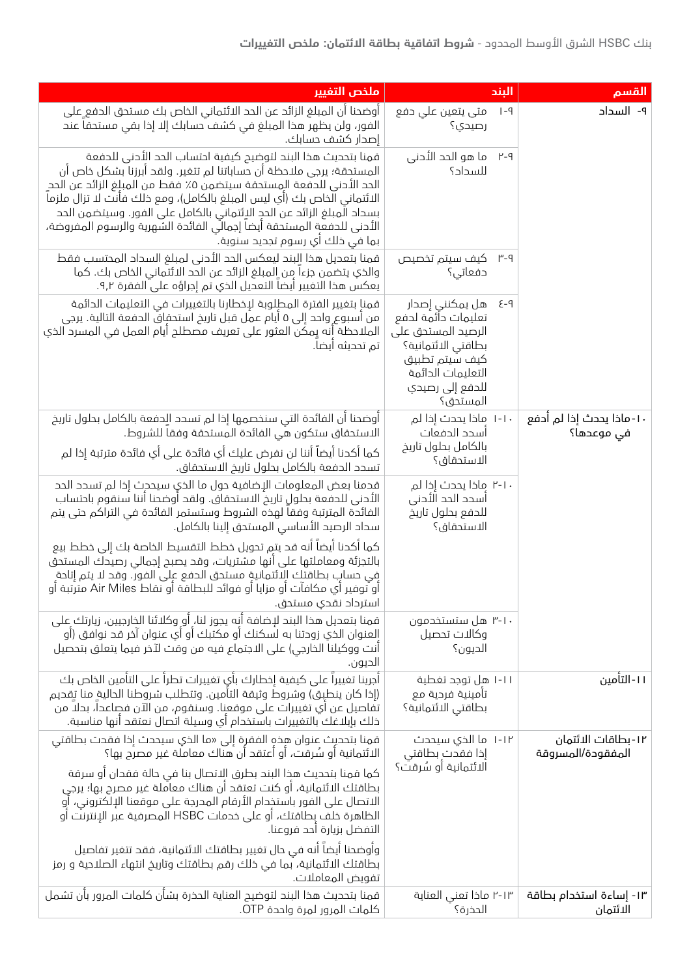بنك HSBC الشرق األوسط المحدود - **شروط اتفاقية بطاقة االئتمان: ملخص التغييرات**

| ملخص التغيير                                                                                                                                                                                                                                                                                                                                                                                                                                                              | الىند                                                                                                                                                       | القسم                                   |
|---------------------------------------------------------------------------------------------------------------------------------------------------------------------------------------------------------------------------------------------------------------------------------------------------------------------------------------------------------------------------------------------------------------------------------------------------------------------------|-------------------------------------------------------------------------------------------------------------------------------------------------------------|-----------------------------------------|
| أوضحنا أن المبلغ الزائد عن الحد الائتماني الخاص بك مستحق الدفع ِعلى<br>الفور، ولن يظهر هذا المبلغ في كشف حسابك إلا إذا بقي مستحقا عند<br>إصدار كشف حسابك.                                                                                                                                                                                                                                                                                                                 | متی یتعین علی حفع<br>$ -9$<br>رصيدي؟                                                                                                                        | ۹- السداد                               |
| قمنا بتحديث هذا البند لتوضيح كيفية احتساب الحد الأدنى للدفعة<br>المستحقة؛ يرجى ملاحظة أن حساباتنا لم تتغير. ولقد أبرزنا بشكل خاص أن<br>الحد الأدني للدفعة المستحقة سيتضمن ٥٪ فقط من المبلغ الزائد عن الحد<br>الائتماني الخاص بك (أي ليس المبلغ بالكامل)، ومع ذلك فأنت لا تزال ملزما<br>بسداد المبلغ الزائد عن الحدِ الاِئتماني بالكامل على الفور. وسيتضمن الحد<br>الأحنى للحفعة المستحقة أيضا إجمالي الفائدة الشهرية والرسوم المفروضة،<br>بما في ذلك اي رسوم تجديد سنوية. | ما هو الحد الأدني<br>۲-۹<br>للسداد؟                                                                                                                         |                                         |
| قمنا بتعديل هذا البند ليعكس الحد الأدنى لمبلغ السداد المحتسب فقط<br>والذي يتضمن جزءا من المبلغ الزائد عن الحد الائتماني الخاص بك. كما<br>يعكس هذا التغيير أيضا التعديل الذي تم إجراؤه على الفقرة ٩,٢.                                                                                                                                                                                                                                                                     | ۳-۹ کیف سیتم تخصیص<br>دفعاتی؟                                                                                                                               |                                         |
| قمناٍ بتغيير الفترة المطلوبة لإخطارنا بالتغييرات في التعليمات الدائمة<br>من أسبوع واحد إلى ٥ أيام عمل قبل تاريخ استحقاقُ الحفعة التالية. يرجى<br>الملاحظة أِنه يِمكن العثور على تعريف مصطلح أيام العمل في المسرد الذي<br>تم تحديثه ايضا.                                                                                                                                                                                                                                  | ۹-٤ هل يمكنني إصدار<br>تعليمات دآئمة لدفع<br>الرصيد المستحق على<br>بطاقتي الائتمانية؟<br>كيف سيتم تطبيق<br>التعليمات الدائمة<br>للدفع إلى رصيدي<br>المستحق؟ |                                         |
| اوضحنا ان الفائدة التي سنخصمها إذا لم تسدد الِحفعة بالكامل بحلول تاريخ<br>الاستحقاق ستكون هي الفائدة المستحقة وفقا للشروط.                                                                                                                                                                                                                                                                                                                                                | ١-١٠ ماذا يحدث إذا لم<br>اسدد الدفعات                                                                                                                       | ١٠-ماذا يحدث إذا لم أدفع<br>في موعدها؟  |
| كما أكدنا أيضاً أننا لن نفرض عليك أي فائدة على أي فائدة مترتبة إذا لم<br>تسدد الدفعة بالكامل بحلول تاريخ الاستحقاق.                                                                                                                                                                                                                                                                                                                                                       | بالكامل بحلول تاريخ<br>الاستحقاق؟                                                                                                                           |                                         |
| قدمنا بعض المعلومات الإضافية حول ما الذي سيحدث إذا لم تسدد الحد<br>الأدني للدفعة بحلول تاريخ الاستحقاق. ولقد أوضحنا أننا سنقوم باحتساب<br>الفائدة المترتبة وفقا لهذه الشروط وستستمر الفائدة في التراكم حتى يتم<br>سداد الرصيد الأساسي المستحق إلينا بالكامل.                                                                                                                                                                                                              | ٢-١٠ مِاذا يحدث إذا لم<br>اسدد الحد الأدنى<br>للحفع بحلول تاريخ<br>الاستحقاق؟                                                                               |                                         |
| كما أكدنا أيضا أنه قد يتم تحويل خطط التقسيط الخاصة بك إلى خطط بيع<br>بالتجزئة ومعاملتها على أنها مشتريات، وقد يصبح إجمالي رصيدك المستحق<br>في حساب بطاقتك الائتمانية مستحق الحفع على الفور. وقد لا يتم إتاحة<br>أو توفير أي مكافآت أو مزايا أو فوائد للبطاقة أو نقاط Air Miles مترتبة أو<br>استرداد نقدي مستحق.                                                                                                                                                           |                                                                                                                                                             |                                         |
| قمنا بتعديل هذا البند لٳضافة أنه يجوز لنا، أو وكلائنا الخارجيين، زيارتك على<br>العنوان الذي زودتنا به لسكنك أو مكتبك أو أي عنوان آخر قد نوافق (أو<br>أنت ووكيلنا الخارجي) على الاجتماع فيه من وقت لآخر فيما يتعلق بتحصيل<br>الديون.                                                                                                                                                                                                                                       | ۳-۱۰ هل ستستخدمون<br>وكالات تحصيل<br>الحيون؟                                                                                                                |                                         |
| أجرينا تغييراً على كيفية إخطارك بأي تغييرات تطرأ على التأمين الخاص بك<br>(إذا كان ينطبق) وشروط وثيقة التأمين. وتتطلب شروطنا الحالية منا تقديم<br>تفاصيل عن أي تغييرات على موقعنا. وسنقوم، من الآن فصاعدا، بدلا من<br>ذلك بإبلاغك بالتغييرات باستخدام أي وسيلة اتصال نعتقد أنها مناسبة.                                                                                                                                                                                    | ۱-۱۱ هِل توجد تغطية<br>تأمينية فردية مع<br>بطاقتي الائتمانية؟                                                                                               | ١١-التأمين                              |
| قمنا بتحديث عنوان هذهِ الفقرة إلى «ما الذي سيحدث إذا فقدت بطاقتي<br>الائتمانية أو سُرقت، أو أعتقد أن هناك معاملة غير مصرح بها؟                                                                                                                                                                                                                                                                                                                                            | ١-١٢ ما الذي سيحدث<br>إذا فقدت بطاقتي                                                                                                                       | ۱۲-بطاقات الائتمان<br>المفقودة/المسروقة |
| كما قمنا بتحديث هذا البند بطرق الِاتصال بنا في حالة فقدان أو سرقة<br>بطاقتك الائتمانية، أو كنت تعتقد أن هناك معاملة غير مصرح بها؛ يرجى<br>الاتصال على الفور باستخِدام الأرقام المحرجة على موقعنا الإلكتروني، أو<br>الظاهرة خلف بطاقتك، أو على خدمات HSBC المصرفية عبر الإنترنت أو<br>التفضل بزيارة أحد فروعنا.                                                                                                                                                            | الائتمانية أو سُرقت؟                                                                                                                                        |                                         |
| وأوضحنا أيضاً أنه في حال تغيير بطاقتك الائتمانية، فقد تتغير تفاصيل<br>بطاقتك الائتمانية، بما في ذلك رقم بطاقتك وتاريخ انتهاء الصلاحية و رمز<br>تفويض المعاملات.                                                                                                                                                                                                                                                                                                           |                                                                                                                                                             |                                         |
| قمنا بتحديث هذا البند لتوضيح العناية الحذرة بشأن كلمات المرور بأن تشمل<br>كلمات المرور لمرة واحدة OTP.                                                                                                                                                                                                                                                                                                                                                                    | ۲-۱۳ ماذا تعني العناية<br>الحخرة؟                                                                                                                           | ١٣- إساءة استخدام بطاقة<br>الائتمان     |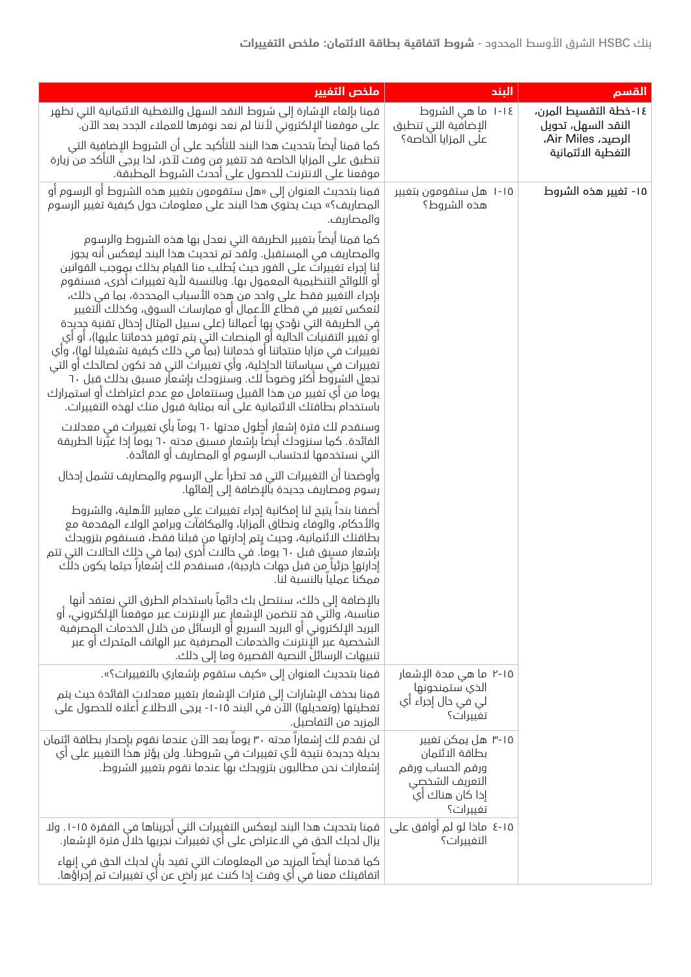| ملخص التفيير                                                                                                                                                                                                                                                                                                                                                                                                                                                                                                                                                                                                                                                                                                                                                                                                                                                                                                                                                                                                                                                                                                                                                                                                                                                                                                                                                                                                                                                                       | الىند                                                                                                     | القسم                                       |
|------------------------------------------------------------------------------------------------------------------------------------------------------------------------------------------------------------------------------------------------------------------------------------------------------------------------------------------------------------------------------------------------------------------------------------------------------------------------------------------------------------------------------------------------------------------------------------------------------------------------------------------------------------------------------------------------------------------------------------------------------------------------------------------------------------------------------------------------------------------------------------------------------------------------------------------------------------------------------------------------------------------------------------------------------------------------------------------------------------------------------------------------------------------------------------------------------------------------------------------------------------------------------------------------------------------------------------------------------------------------------------------------------------------------------------------------------------------------------------|-----------------------------------------------------------------------------------------------------------|---------------------------------------------|
| قمنا بإلغاء الإشارة إلى شروط النقد السهل والتغطية الائتمانية التي تظهر<br>على موقعنا الإلكتروني لأننا لم نعد نوفرها للعملاء الجدد بعد الآن.                                                                                                                                                                                                                                                                                                                                                                                                                                                                                                                                                                                                                                                                                                                                                                                                                                                                                                                                                                                                                                                                                                                                                                                                                                                                                                                                        | ١-١٤ ما هي الشروط<br>الإضافية التي تنطبق                                                                  | ١٤-خطة التقسيط المرن،<br>النقد السهل، تحويل |
| كما قمنا أيضاً بتحديث هذا البند للتأكيد على أن الشروط الإضافية التي<br>تنطبق على المزايا الخاصة قد تتغير من وقت لآخر، لذا يرجى التأكد من زيارة<br>موقعنا على الانترنت للحصول على أحدث الشروط المطبقة.                                                                                                                                                                                                                                                                                                                                                                                                                                                                                                                                                                                                                                                                                                                                                                                                                                                                                                                                                                                                                                                                                                                                                                                                                                                                              | على المزايا الخاصة؟                                                                                       | الرصيد، Air Miles،<br>التغطية الائتمانية    |
| قمنا بتحديث العنوان إلى «هل ستقومون بتغيير هذه الشروط أو الرسوم أو<br>المصاريف؟» حيث يحتوي هذا البند على معلومات حول كيفية تغيير الرسوم<br>والمصاريف.                                                                                                                                                                                                                                                                                                                                                                                                                                                                                                                                                                                                                                                                                                                                                                                                                                                                                                                                                                                                                                                                                                                                                                                                                                                                                                                              | ۱-۱۵ هل ستقومون بتغییر<br>هذه الشروط؟                                                                     | ١٥- تغيير هذه الشروط                        |
| كما قمنا أيضا بتغيير الطريقة التي نعدل بها هذه الشروط والرسوم<br>والمصاريف في المستقبل. ولقد ٌتم تحديث هذا البند ليعكس أنه يجوز<br>لنا إجراء تغييراتٌ على الفور حيث يُطلب منا القيام بخلك بموجب القوانين<br>أو اللوائح التنظيمية المعمول بها. وبالنسبة لأية تغييرات أخرى، فسنقوم<br>بإجراء التغيير فقط على واحد من هذه الأسباب المحددة، بما في ذلك،<br>لتعكس تغيير في قطاع الأعمال أو ممارسات السوق، وكذلك التغيير<br>فِي الطريقة التي نؤدي بِها أعمالنا (على سبيل المثال إدخال تقنية جِديحة<br>أو تغيير التقنياتُ الحالية أو المنصات التي يتم توفير خدماتنا عليها)، أو أي<br>تغييرات في مزايا منتجاتنا أو خدماتنا (بما في ذلك كيفية تشغيلنا لها)، وأي<br>تغييرات في سياساتنا الداخلية، وأي تغييرات التي قد تكون لصالحك أو التي<br>تجعل الشروط أكثر وضوحا لك. وسنزودك بإشعار مسبق بخلك قبل ٦٠<br>يوما من أي تغيير من هذا القبيل وسنتعامل مع عدم اعتراضك أو استمرارك<br>باستخدام بطاقتك الائتمانية على أنه بمثابة قبول منك لهذه التغييرات.<br>وسنقدم لك فترة إشعإر أطٍول مدتها ٦٠ يوماً بأي تغييرات في معدلات<br>الفائدة. كما سنزودك أيضا بإشعار مسبق مدته ٦٠ يوما إذا غيَّرنا الطريقة<br>التي نستخدمها لاحتساب الرسوم أو المصاريف أو الفائدة.<br>وأوضحنا أن التغييرات التي قد تطرأ على الرسوم والمصاريف تشمل إحخال<br>رسوم ومصاريف جديدة بالإضافة إلى إلغائها.<br>أضفنا بندا يتيح لنا إمكانية إجراء تغييرات على معايير الأهلية، والشروط<br>والأحكام، والوفاء ونطاق المزايا، والمكافأت وبرامج الولاء المقحمة مع<br>بطاقتك الائتمانية، وحيث يتم إدارتها من قبلنا فقط، فسنقوم بتزويدك |                                                                                                           |                                             |
| بإشعار مسبِق قبل ٦٠ يوما. في حالات أخرى (بما في خلِك الحالات التي تتم<br>إدارتهاٍ جزئيا ٍمن قبل جهات خارجية)، فسنقدم لك إشعارا حيثما يكون خلك<br>ممكنا عمليا بالنسبة لنا.                                                                                                                                                                                                                                                                                                                                                                                                                                                                                                                                                                                                                                                                                                                                                                                                                                                                                                                                                                                                                                                                                                                                                                                                                                                                                                          |                                                                                                           |                                             |
| بالإضافة إلى ذلك، سنتصل بك دائماً باستخدام الطرق التي نعتقد أنها<br>مناسبة، والتي قدٍ تتضمن الإِشعارِ عبر الإِنترنت عبر موقعناً الإِلكتروني، أو<br>البريد الإلكتروني أو البريد السريع أو الرسائل من خلال الخدمات المِصرفية<br>الشخصية عبر الإنترنت والخدمات المصرفية عبر الهاتف المتحرك او عبر<br>تنبيهات الرسائل النصية القصيرة وما إلى ذلك.                                                                                                                                                                                                                                                                                                                                                                                                                                                                                                                                                                                                                                                                                                                                                                                                                                                                                                                                                                                                                                                                                                                                      |                                                                                                           |                                             |
| قمنا بتحديث العنوان إلى «كيف ستقوم بإشعاري بالتغييرات؟».                                                                                                                                                                                                                                                                                                                                                                                                                                                                                                                                                                                                                                                                                                                                                                                                                                                                                                                                                                                                                                                                                                                                                                                                                                                                                                                                                                                                                           | ۲-۱۵ ما هي مدة الإشعار                                                                                    |                                             |
| قمنا بحذف الإشارات إلى فترات الإشعار بتغيير معدلات الفائدة حيث يتم<br>تغطيتها (وتعديلها) الآن في البند ١٥-١- يرجى الاطلاع أعلاه للحصول على<br>المزيد من التفاصيل.                                                                                                                                                                                                                                                                                                                                                                                                                                                                                                                                                                                                                                                                                                                                                                                                                                                                                                                                                                                                                                                                                                                                                                                                                                                                                                                  | الخي ستمنحونها<br>لى في حال إجراء أي<br>تغييرات؟                                                          |                                             |
| لن نقدم لك إشعارا مدته ٣٠ يوما بعد الآن عندما نقوم بإصدار بطاقة ائتمان<br>بحيلة جديدة نتيجة لأي تغييرات في شروطنا. ولن يؤثر هذا التغيير على أي<br>إشعارات نحن مطالبون بتزويدك بها عندما نقوم بتغيير الشروط.                                                                                                                                                                                                                                                                                                                                                                                                                                                                                                                                                                                                                                                                                                                                                                                                                                                                                                                                                                                                                                                                                                                                                                                                                                                                        | ۲-۱۵ هل یمکن تغییر<br>بطاقة الائتمان<br>ورقم الحساب ورقم<br>التعريف الشخصي<br>إذا كان هناك اي<br>تغییرات؟ |                                             |
| قمنا بتحديث هذا البند ليعكس التغيِيرات التي أجريناها في الفقرة ١٥-١. ولا<br>يزال لحيك الحق في الاعتراض على أي تغييرات نجريها خلالٌ فترة الإِشعار.                                                                                                                                                                                                                                                                                                                                                                                                                                                                                                                                                                                                                                                                                                                                                                                                                                                                                                                                                                                                                                                                                                                                                                                                                                                                                                                                  | ١٥-٤ ماذا لو لم أوافق على<br>التغييرات؟                                                                   |                                             |
| كما قدمنا أيضاً المزيد من المعلومات التي تفيد بأنِ لديك الحق في إنهاء<br>اتفاقيتك معنا في أي وقت إذا كنت غير راض عن أي تغييرات تم إجراؤها.                                                                                                                                                                                                                                                                                                                                                                                                                                                                                                                                                                                                                                                                                                                                                                                                                                                                                                                                                                                                                                                                                                                                                                                                                                                                                                                                         |                                                                                                           |                                             |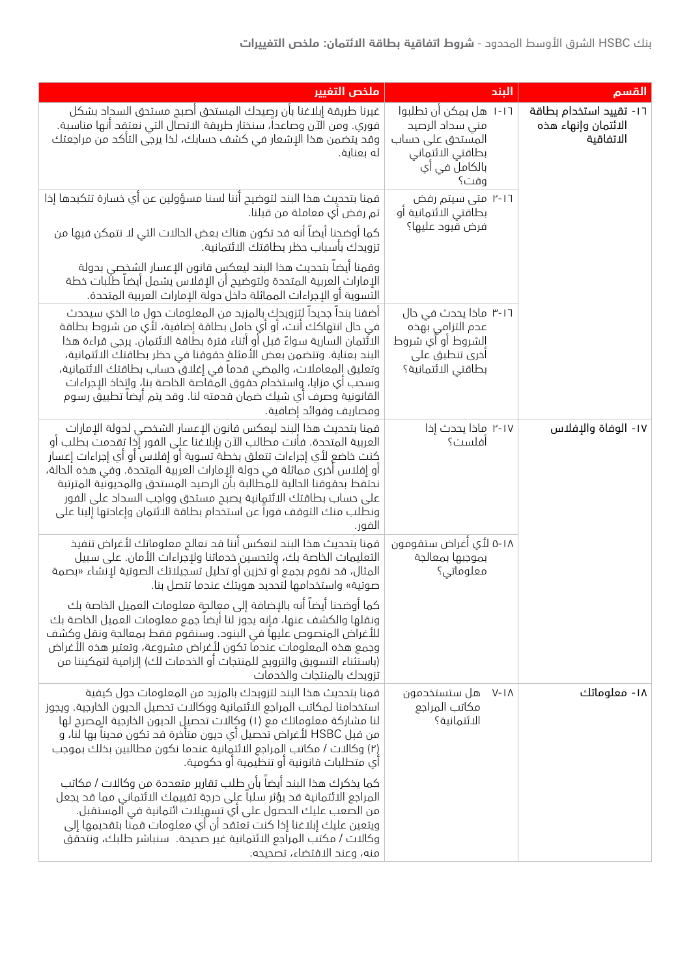| القسم                                                       | البند                                                                                                       | ملخص التغيير                                                                                                                                                                                                                                                                                                                                                                                                                                                                                                                                                                                                                                                                                                                   |
|-------------------------------------------------------------|-------------------------------------------------------------------------------------------------------------|--------------------------------------------------------------------------------------------------------------------------------------------------------------------------------------------------------------------------------------------------------------------------------------------------------------------------------------------------------------------------------------------------------------------------------------------------------------------------------------------------------------------------------------------------------------------------------------------------------------------------------------------------------------------------------------------------------------------------------|
| ١٦- تقييد استخدام بطاقة<br>الائتمان وإنهاء هذه<br>الاتفاقية | ١-١٦ هل يمكن أن تطلبوا<br>منى سداد الرصيد<br>المستحق على حساب<br>بطاقتي الائتماني<br>بالكاملَ في أي<br>وقت؟ | غيرنا طريقة إبلاغنا بأن رصيدك المستحق أصبح مستحق السحاد بشكل<br>فوري. ومن الآن وصاعدا، سنختار طريقة الاتصال التي نعتقد أنها مناسبة.<br>وقد يتضمن هذا الإشعار في كشف حسابك، لذا يرجي التأكد من مراجعتك<br>له بعناية.                                                                                                                                                                                                                                                                                                                                                                                                                                                                                                            |
|                                                             | ۲-۱٦ متی سیتم رفض<br>بطاقتي الائتمانية أو                                                                   | قمنا بتحديث هذا البند لتوضيح أننا لسنا مسؤولين عن أي خسارة تتكبدها إذا<br>تم رفض أي معاملة من قبلنا.                                                                                                                                                                                                                                                                                                                                                                                                                                                                                                                                                                                                                           |
|                                                             | فرض قيود عليها؟                                                                                             | كما أوضحنا أيضاً أنه قد تكون هناك بعض الحالات التي لا نتمكن فيها من<br>تزويدك بأسباب حظر بطاقتك الائتمانية.                                                                                                                                                                                                                                                                                                                                                                                                                                                                                                                                                                                                                    |
|                                                             | ۱-۱-۳ ماذا یحدث فی حال<br>عدم التزامي بهذه<br>الشروط أو آي شروط<br>أخرى تنطبق على<br>بطاقتي الائتمانية؟     | وقمنا ايضا بتحديث هذا البند ليعكس قانون الإعسار الشخصى بدولة<br>الإمارات العربية المتحدة ولتوضيح أن الإفلاس يشمل أيضاً طلبات خطة<br>التسوية أو الإجراءات المماثلة حاخل حولة الإمارات العربية المتحدة.<br>أضفنا بندا جديدا لتزويدك بالمزيد من المعلومات حول ما الذي سيحدث<br>في حال انتهاكك أنت، أو أي حامل بطاقة إضافية، لأي من شروط بطاقة<br>الاثَتمان السارية سواءً قبل أو أثناء فترة بطاقة الائتمان. يرجى قراءة هذا<br>البند بعناية. وتتضمن بعض الأمثلةِ حقوقنا في حظر بطاقتك الائتمانية،<br>وتعليق المعاملات، والمضى قدما في إغلاق حساب بطاقتك الائتمانية،<br>وسحب أي مزايا، واستخدام حقوق المقاصة الخاصة بنا، واتخاذ الإجراءات<br>القانونية وصرف أي شيك ضمان قدمته لنا. وقد يتم أيضا تطبيق رسوم<br>ومصاريف وفوائد إضافية. |
| ١٧- الوفاة والإفلاس                                         | ۲-۱۷ ماخا بحدث إذا<br>آفلست؟                                                                                | قمنا بتحديث هذا البند ليعكس قانون الإعسار الشخصي لدولة الإمارات<br>العربية المتحدة. فأنت مطالب الآن بإبلاغنا على الفور إُذا تقدمت بطلب أو<br>كنت خاضع لأي إجراءات تتعلق بخطة تسوية أو إفلاس أو أي إجراءات إعسار<br>أو إفلاس أخرى مماثلة في حولة الإمارات العربية المتحدة. وفي هذه الحالة،<br>نحتفظ بحقوقنا الحالية للمطالبة بأن الرصيد المستحق والمحيونية المترتبة<br>على حساب بطاقتك الائتمانية يصبح مستحق وواجب السداد على الفور<br>ونطلب منك التوقف فورا عن استخدام بطاقة الائتمان وإعادتها إلينا على<br>الفور.                                                                                                                                                                                                             |
|                                                             | ٥-١٨ لأي أغراض ستقومون<br>بموجبها بمعالجة<br>معلوماتی؟                                                      | قمنا بتحديث هذا البند لنعكس أننا قد نعالج معلوماتك لأغراض تنفيذ<br>التعليمات الخاصة بك، ولتحسين خدماتنا ولإجراءات الأمان. على سبيل<br>المثال، قد نقوم بجمع أو تخزين أو تحليل تسجيلاتك الصوتية لإنشاء «بصمة<br>صوتية» واستخدامها لتحديد هويتك عندما تتصل بنا.                                                                                                                                                                                                                                                                                                                                                                                                                                                                   |
|                                                             |                                                                                                             | $\epsilon = \epsilon$<br>كما أوضحنا أيضاً أنه بالإضافة إلى معالجة معلومات العميل الخاصة بك<br>ونقلها والكشف عنها، فإنه يجوز لنا أيضا جمع معلومات العميل الخاصة بك<br>للأغراض المنصوص عليها في البنود. وسنقوم فقط بمعالجة ونقل وكشف<br>وجمع هذه المعلومات عندماً تكون لأغراض مشروعة، وتعتبر هذه الأغراض<br>(باستثناء التسويق والترويج للمنتجات أو الخدمات لك) إلزامية لتمكيننا من<br>تزويدك بالمنتجات والخدمات                                                                                                                                                                                                                                                                                                                  |
| ۱۸- معلوماتك                                                | هل ستستخدمون<br>$V-I\Lambda$<br>مكاتب المراجع<br>الائتمانية؟                                                | قمنا بتحديث هذا البند لتزويدك بالمزيد من المعلومات حول كيفية<br>استخدامنا لمكاتب المراجع الائتمانية ووكالات تحصيل الديون الخارجية. ويجوز<br>لنا مشاركة معلوماتك مع (١) وكالات تحصيل الديون الخارجية المصرح لها<br>من قبل HSBC لأغراض تحصيل أي حيون متأخرة قد تكون مدينا بها لنا، و<br>(٢) وكالات / مكاتب المراجع الائتمانية عندما نكون مطالبين بخلك بموجب<br>أي متطلبات قانونية أو تنظيمية أو حكومية.                                                                                                                                                                                                                                                                                                                          |
|                                                             |                                                                                                             | كما يخكرك هذا البند أيضاً بأن طلب تقارير متعددة من وكالات / مكاتب<br>المراجع الائتمانية قد يؤثر سلبا على درجة تقييمك الائتماني مما قد يجعل<br>من الصعب عليك الحصول على أي تسهيلات ائتمانية في المستقبل.<br>ويتعين عليك إبلاغنا إذا كنت تعتقد أن أي معلومات قمنا بتقديمها إلى<br>وكالات / مكتب المراجع الائتمانية غير صحيحة. سنباشر طلبك، ونتحقق<br>منه، وعند الاقتضاء، تصحيحه.                                                                                                                                                                                                                                                                                                                                                 |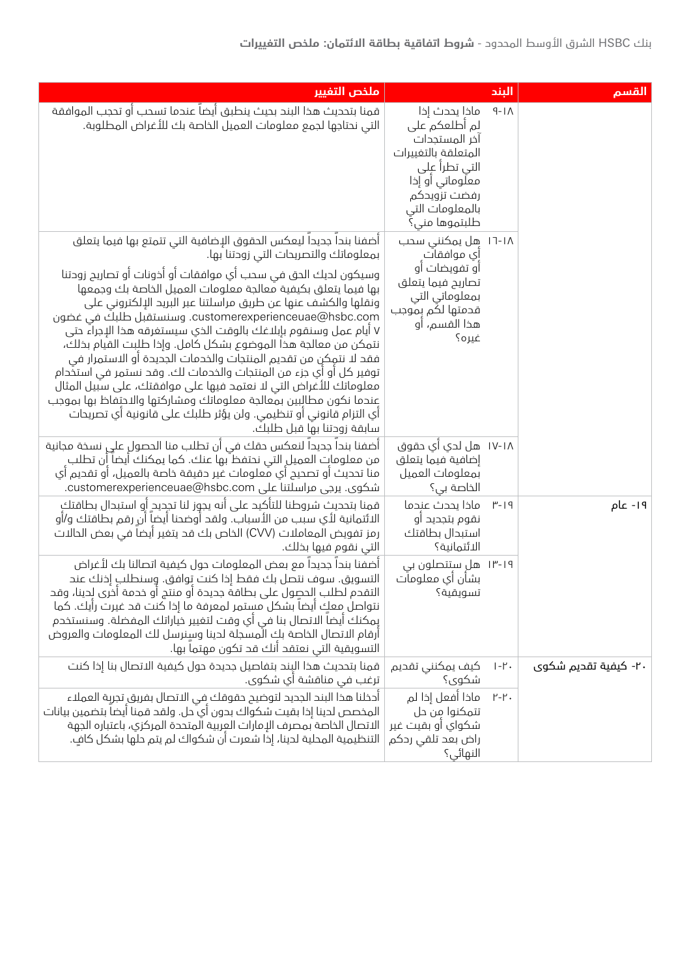| القسم                | البند                              |                                                                                                                                                                 | ملخص التفيير                                                                                                                                                                                                                                                                                                                                                                                                                                                                                                                                                                                                                                                                                                                                                                                                                                                                               |
|----------------------|------------------------------------|-----------------------------------------------------------------------------------------------------------------------------------------------------------------|--------------------------------------------------------------------------------------------------------------------------------------------------------------------------------------------------------------------------------------------------------------------------------------------------------------------------------------------------------------------------------------------------------------------------------------------------------------------------------------------------------------------------------------------------------------------------------------------------------------------------------------------------------------------------------------------------------------------------------------------------------------------------------------------------------------------------------------------------------------------------------------------|
|                      | $9-1\wedge$                        | ماذا يحدث إذا<br>لم أطلعكم على<br>أخر المستجدات<br>المتعلقة بالتغييرات<br>التي تطراً على<br>معلوماتی او إذا<br>رفضت تزويدكم<br>بالمعلومات التي<br>طلبتموها مني؟ | قمنا بتحديث هذا البند بحيث ينطبق أيضاً عندما تسحب أو تحجب الموافقة<br>التي نحتاجها لجمع معلومات العميل الخاصة بك للأغراض المطلوبة.                                                                                                                                                                                                                                                                                                                                                                                                                                                                                                                                                                                                                                                                                                                                                         |
|                      |                                    | ۱۱-۱۸ هِل یمکننی سحب<br>اَي موافقات<br>أو تفويضات أو<br>تصاريح فيما يتعلق<br>بمعلوماتي التي<br>قدمتها لكم بموجب<br>هذا القسم، او<br>غیرہ؟                       | اضفنا بندا جديدا ليعكس الحقوق الإضافية التي تتمتع بها فيما يتعلق<br>بمعلوماتك والتصريحات التي زودتنا بها.<br>وسيكون لديك الحق في سحب أي موافقات أو أخونات أو تصاريح زوحتنا<br>بها فيما يتعلق بكيفية معالجة معلومات العميل الخاصة بك وجمعها<br>ونقلها والكشف عنها عن طريق مراسلتنا عبر البريد الإلكتروني على<br>customerexperienceuae@hsbc.com. وسنستقبل طلبك في غضون<br>٧ أيام عمل وسنقوم بإبلاغك بالوقت الذي سيستغرقه هذا الإجراء حتى<br>نتمكن من معالجة هذا الموضوع بشكل كامل. وإذا طلبت القيام بذلك،<br>فقد لا نتمِكن من تقديم المنتجات والخدمات الجديدة أو الاستمرار في<br>توفير كل أو أي جزء من المنتجات والخدمات لك. وقد نستمر في استخدام<br>معلوماتك للأغراض التي لا نعتمد فيها على موافقتك، على سبيل المثال<br>عندما نكون مطالبين بمعالجة معلوماتك ومشاركتها والاحتفاظ بها بموجب<br>أي التزام قانوني أو تنظيمي. ولن يؤثر طلبك على قانونية أي تصريحات<br>سابقة زودتنا بها قبل طلبك. |
|                      |                                    | ۱۷-۱۸  هل لدي اَي حقوق<br>إضافية فيما يتعلق<br>بمعلومات العميل<br>الخاصة بي؟                                                                                    | أضفنا بندا جديدا لنعكس حقك في أن تطلب منا الحصول على نسخة مجانية<br>من معلومات العميل التي نحتفظ بها عنك. كما يمكنك أيضا أن تطلب ِ<br>منا تحديث أو تصحيح أي معلومات غير حقيقة خاصة بالعميل، أو تقديم أي<br>شکوی. پرجی مراسلتنا علی customerexperienceuae@hsbc.com.                                                                                                                                                                                                                                                                                                                                                                                                                                                                                                                                                                                                                         |
| ١٩- عام              | $P - 19$                           | ماذا يحدث عندما<br>نقوم بتجديد أو<br>استبدال بطاقتك<br>الائتمانىة؟                                                                                              | قمنا بتحديث شروطنا للتأكيد على أنه يجوز لنا تجديد أو استبدال بطاقتك<br>الائتمانية لأي سبب من الأسباب. ولقد أوضحنا أيضا أن رقم بطاقتك و/أو<br>رمز تفويض المعاملات (CVV) الخاص بك قد يتغير أيضا في بعض الحالات<br>التي نقوم فيها بخلك.                                                                                                                                                                                                                                                                                                                                                                                                                                                                                                                                                                                                                                                       |
|                      |                                    | ۱۳-۱۹ هلِ ستتصلون بی<br>بشأن أي معلومات<br>تسويقية؟                                                                                                             | اضفنا بندا جديدا مع بعض المعلومات حول كيفية اتصالنا بك لأغراض<br>التسويق. سوف نتصل بك فقط إذا كنت توافق. وسنطلب إذنك عند<br>التقدم لطلب الحصول على بطاقة جديدة أو منتج أو خدمة أخرى لِحينا، وقد<br>نتواصل معك أيضاً بشكل مستمر لمعرفة ما إذا كنت قد غيرت رأيك. كما<br>يمكنك أيضاً الاتصال بنا في أي وقت لتغيير خياراتك المفضلة. وسنستخدم<br>أرقام الاتصال الخاصة بك الْمسجلة لدينا وسنرسل لك المعلومات والعروض<br>التسويقية التي نعتقد أنك قد تكون مهتماً بها.                                                                                                                                                                                                                                                                                                                                                                                                                             |
| ۲۰- کیفیة تقدیم شکوی | $ -1$ .                            | كيف يمكنني تقديم<br>شکوی؟                                                                                                                                       | قمنا بتحديث هذا البند بتفاصيل جديدة حول كيفية الاتصال بنا إذا كنت<br>ترغب في مناقشة أي شكوى.                                                                                                                                                                                                                                                                                                                                                                                                                                                                                                                                                                                                                                                                                                                                                                                               |
|                      | $\mathsf{I}'\text{-}\mathsf{I}'$ . | ماذا أفعل إذا لم<br>تتمكنوا من حل<br>شكواي أو بقيت غير<br>راض بعد تلقی ردکم<br>النهائي؟                                                                         | أدخلنا هذا البند الجديد لتوضيح حقوقك في الاتصال بفريق تجربة العملاء<br>المخصص لدينا إذا بقيت شكواك بدون أي ٌ حل. ولقد قمنا أيضاً بتضمين بيانات<br>الاتصال الخاصة بمصرف الإمارات العربية المتحدة المركزي، باعتباره الجهة<br>التنظيمية المحلية لدينا، إذا شعرت أن شكواك لم يتم حلها بشكل كافٍ.                                                                                                                                                                                                                                                                                                                                                                                                                                                                                                                                                                                               |